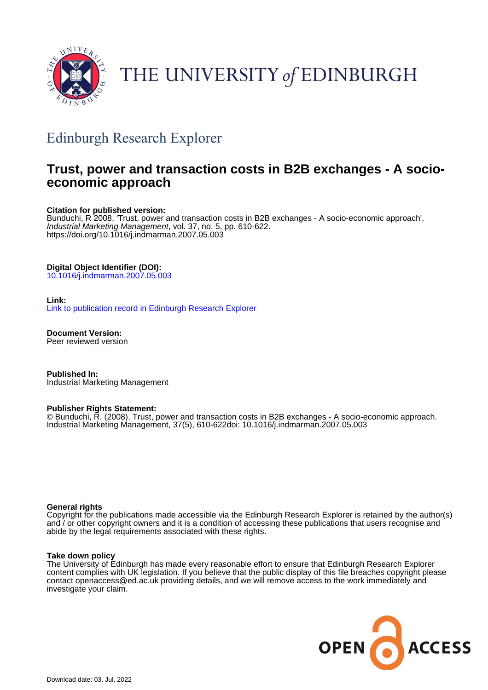

# THE UNIVERSITY of EDINBURGH

## Edinburgh Research Explorer

## **Trust, power and transaction costs in B2B exchanges - A socioeconomic approach**

#### **Citation for published version:**

Bunduchi, R 2008, 'Trust, power and transaction costs in B2B exchanges - A socio-economic approach', Industrial Marketing Management, vol. 37, no. 5, pp. 610-622. <https://doi.org/10.1016/j.indmarman.2007.05.003>

#### **Digital Object Identifier (DOI):**

[10.1016/j.indmarman.2007.05.003](https://doi.org/10.1016/j.indmarman.2007.05.003)

#### **Link:**

[Link to publication record in Edinburgh Research Explorer](https://www.research.ed.ac.uk/en/publications/65e5d253-b610-4ab2-921e-c49b905dc489)

**Document Version:** Peer reviewed version

**Published In:** Industrial Marketing Management

#### **Publisher Rights Statement:**

© Bunduchi, R. (2008). Trust, power and transaction costs in B2B exchanges - A socio-economic approach. Industrial Marketing Management, 37(5), 610-622doi: 10.1016/j.indmarman.2007.05.003

#### **General rights**

Copyright for the publications made accessible via the Edinburgh Research Explorer is retained by the author(s) and / or other copyright owners and it is a condition of accessing these publications that users recognise and abide by the legal requirements associated with these rights.

#### **Take down policy**

The University of Edinburgh has made every reasonable effort to ensure that Edinburgh Research Explorer content complies with UK legislation. If you believe that the public display of this file breaches copyright please contact openaccess@ed.ac.uk providing details, and we will remove access to the work immediately and investigate your claim.

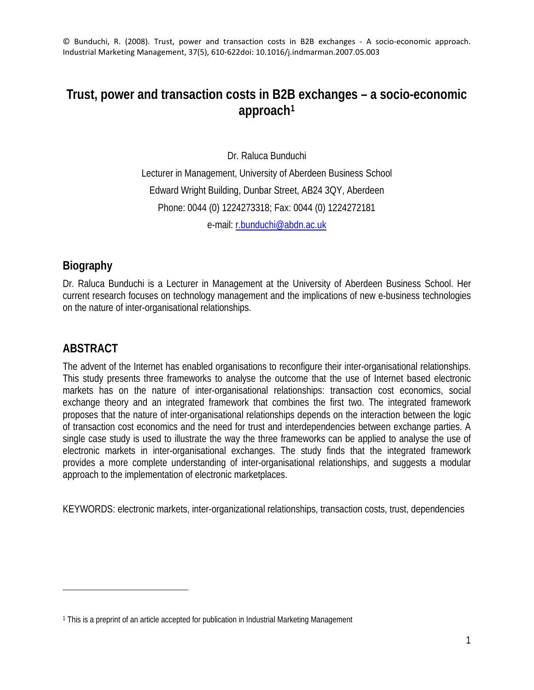## **Trust, power and transaction costs in B2B exchanges – a socio-economic approach[1](#page-1-0)**

Dr. Raluca Bunduchi Lecturer in Management, University of Aberdeen Business School Edward Wright Building, Dunbar Street, AB24 3QY, Aberdeen Phone: 0044 (0) 1224273318; Fax: 0044 (0) 1224272181 e-mail: [r.bunduchi@abdn.ac.uk](mailto:r.bunduchi@abdn.ac.uk)

### **Biography**

Dr. Raluca Bunduchi is a Lecturer in Management at the University of Aberdeen Business School. Her current research focuses on technology management and the implications of new e-business technologies on the nature of inter-organisational relationships.

## **ABSTRACT**

<span id="page-1-1"></span> $\overline{a}$ 

The advent of the Internet has enabled organisations to reconfigure their inter-organisational relationships. This study presents three frameworks to analyse the outcome that the use of Internet based electronic markets has on the nature of inter-organisational relationships: transaction cost economics, social exchange theory and an integrated framework that combines the first two. The integrated framework proposes that the nature of inter-organisational relationships depends on the interaction between the logic of transaction cost economics and the need for trust and interdependencies between exchange parties. A single case study is used to illustrate the way the three frameworks can be applied to analyse the use of electronic markets in inter-organisational exchanges. The study finds that the integrated framework provides a more complete understanding of inter-organisational relationships, and suggests a modular approach to the implementation of electronic marketplaces.

KEYWORDS: electronic markets, inter-organizational relationships, transaction costs, trust, dependencies

<span id="page-1-0"></span><sup>&</sup>lt;sup>1</sup> This is a preprint of an article accepted for publication in Industrial Marketing Management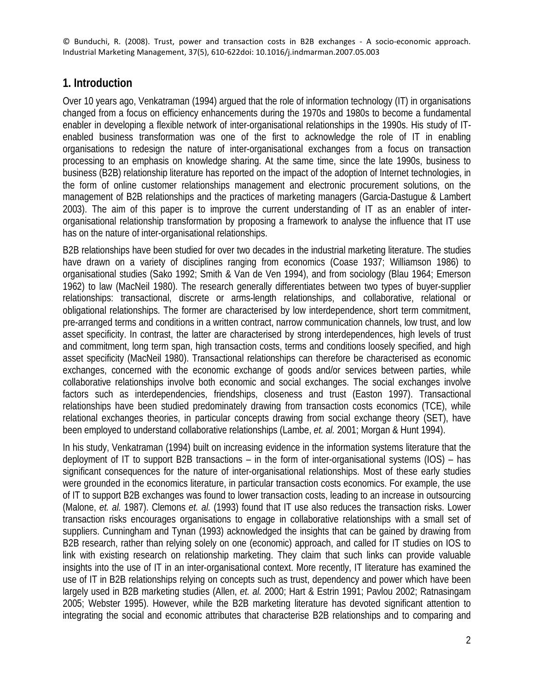### **1. Introduction**

Over 10 years ago, Venkatraman (1994) argued that the role of information technology (IT) in organisations changed from a focus on efficiency enhancements during the 1970s and 1980s to become a fundamental enabler in developing a flexible network of inter-organisational relationships in the 1990s. His study of ITenabled business transformation was one of the first to acknowledge the role of IT in enabling organisations to redesign the nature of inter-organisational exchanges from a focus on transaction processing to an emphasis on knowledge sharing. At the same time, since the late 1990s, business to business (B2B) relationship literature has reported on the impact of the adoption of Internet technologies, in the form of online customer relationships management and electronic procurement solutions, on the management of B2B relationships and the practices of marketing managers (Garcia-Dastugue & Lambert 2003). The aim of this paper is to improve the current understanding of IT as an enabler of interorganisational relationship transformation by proposing a framework to analyse the influence that IT use has on the nature of inter-organisational relationships.

B2B relationships have been studied for over two decades in the industrial marketing literature. The studies have drawn on a variety of disciplines ranging from economics (Coase 1937; Williamson 1986) to organisational studies (Sako 1992; Smith & Van de Ven 1994), and from sociology (Blau 1964; Emerson 1962) to law (MacNeil 1980). The research generally differentiates between two types of buyer-supplier relationships: transactional, discrete or arms-length relationships, and collaborative, relational or obligational relationships. The former are characterised by low interdependence, short term commitment, pre-arranged terms and conditions in a written contract, narrow communication channels, low trust, and low asset specificity. In contrast, the latter are characterised by strong interdependences, high levels of trust and commitment, long term span, high transaction costs, terms and conditions loosely specified, and high asset specificity (MacNeil 1980). Transactional relationships can therefore be characterised as economic exchanges, concerned with the economic exchange of goods and/or services between parties, while collaborative relationships involve both economic and social exchanges. The social exchanges involve factors such as interdependencies, friendships, closeness and trust (Easton 1997). Transactional relationships have been studied predominately drawing from transaction costs economics (TCE), while relational exchanges theories, in particular concepts drawing from social exchange theory (SET), have been employed to understand collaborative relationships (Lambe, *et. al.* 2001; Morgan & Hunt 1994).

In his study, Venkatraman (1994) built on increasing evidence in the information systems literature that the deployment of IT to support B2B transactions – in the form of inter-organisational systems (IOS) – has significant consequences for the nature of inter-organisational relationships. Most of these early studies were grounded in the economics literature, in particular transaction costs economics. For example, the use of IT to support B2B exchanges was found to lower transaction costs, leading to an increase in outsourcing (Malone, *et. al.* 1987). Clemons *et. al.* (1993) found that IT use also reduces the transaction risks. Lower transaction risks encourages organisations to engage in collaborative relationships with a small set of suppliers. Cunningham and Tynan (1993) acknowledged the insights that can be gained by drawing from B2B research, rather than relying solely on one (economic) approach, and called for IT studies on IOS to link with existing research on relationship marketing. They claim that such links can provide valuable insights into the use of IT in an inter-organisational context. More recently, IT literature has examined the use of IT in B2B relationships relying on concepts such as trust, dependency and power which have been largely used in B2B marketing studies (Allen, *et. al.* 2000; Hart & Estrin 1991; Pavlou 2002; Ratnasingam 2005; Webster 1995). However, while the B2B marketing literature has devoted significant attention to integrating the social and economic attributes that characterise B2B relationships and to comparing and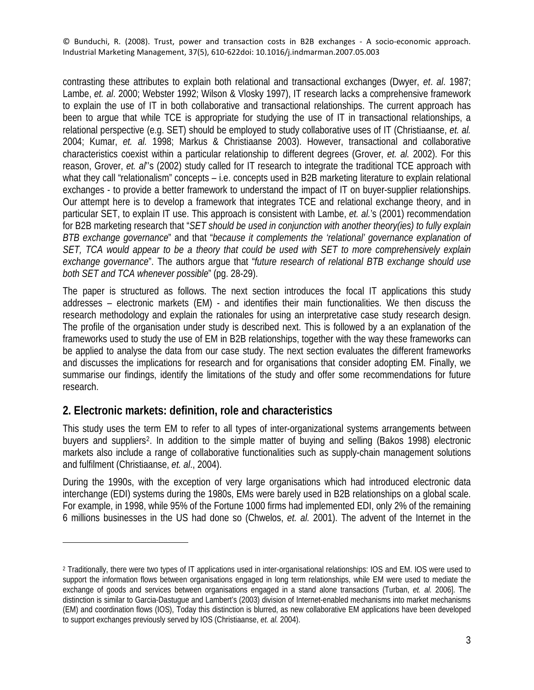contrasting these attributes to explain both relational and transactional exchanges (Dwyer, *et*. *al*. 1987; Lambe, *et. al*. 2000; Webster 1992; Wilson & Vlosky 1997), IT research lacks a comprehensive framework to explain the use of IT in both collaborative and transactional relationships. The current approach has been to argue that while TCE is appropriate for studying the use of IT in transactional relationships, a relational perspective (e.g. SET) should be employed to study collaborative uses of IT (Christiaanse, *et. al.* 2004; Kumar, *et. al.* 1998; Markus & Christiaanse 2003). However, transactional and collaborative characteristics coexist within a particular relationship to different degrees (Grover, *et. al.* 2002). For this reason, Grover, *et. al*''s (2002) study called for IT research to integrate the traditional TCE approach with what they call "relationalism" concepts – i.e. concepts used in B2B marketing literature to explain relational exchanges - to provide a better framework to understand the impact of IT on buyer-supplier relationships. Our attempt here is to develop a framework that integrates TCE and relational exchange theory, and in particular SET, to explain IT use. This approach is consistent with Lambe, *et. al.*'s (2001) recommendation for B2B marketing research that "*SET should be used in conjunction with another theory(ies) to fully explain BTB exchange governance*" and that "*because it complements the 'relational' governance explanation of SET, TCA would appear to be a theory that could be used with SET to more comprehensively explain exchange governance*". The authors argue that "*future research of relational BTB exchange should use both SET and TCA whenever possible*" (pg. 28-29).

The paper is structured as follows. The next section introduces the focal IT applications this study addresses – electronic markets (EM) - and identifies their main functionalities. We then discuss the research methodology and explain the rationales for using an interpretative case study research design. The profile of the organisation under study is described next. This is followed by a an explanation of the frameworks used to study the use of EM in B2B relationships, together with the way these frameworks can be applied to analyse the data from our case study. The next section evaluates the different frameworks and discusses the implications for research and for organisations that consider adopting EM. Finally, we summarise our findings, identify the limitations of the study and offer some recommendations for future research.

### **2. Electronic markets: definition, role and characteristics**

 $\overline{a}$ 

This study uses the term EM to refer to all types of inter-organizational systems arrangements between buyers and suppliers[2.](#page-1-1) In addition to the simple matter of buying and selling (Bakos 1998) electronic markets also include a range of collaborative functionalities such as supply-chain management solutions and fulfilment (Christiaanse, *et. al*., 2004).

During the 1990s, with the exception of very large organisations which had introduced electronic data interchange (EDI) systems during the 1980s, EMs were barely used in B2B relationships on a global scale. For example, in 1998, while 95% of the Fortune 1000 firms had implemented EDI, only 2% of the remaining 6 millions businesses in the US had done so (Chwelos, *et. al.* 2001). The advent of the Internet in the

<span id="page-3-0"></span><sup>2</sup> Traditionally, there were two types of IT applications used in inter-organisational relationships: IOS and EM. IOS were used to support the information flows between organisations engaged in long term relationships, while EM were used to mediate the exchange of goods and services between organisations engaged in a stand alone transactions (Turban, *et. al.* 2006]. The distinction is similar to Garcia-Dastugue and Lambert's (2003) division of Internet-enabled mechanisms into market mechanisms (EM) and coordination flows (IOS), Today this distinction is blurred, as new collaborative EM applications have been developed to support exchanges previously served by IOS (Christiaanse, *et. al.* 2004).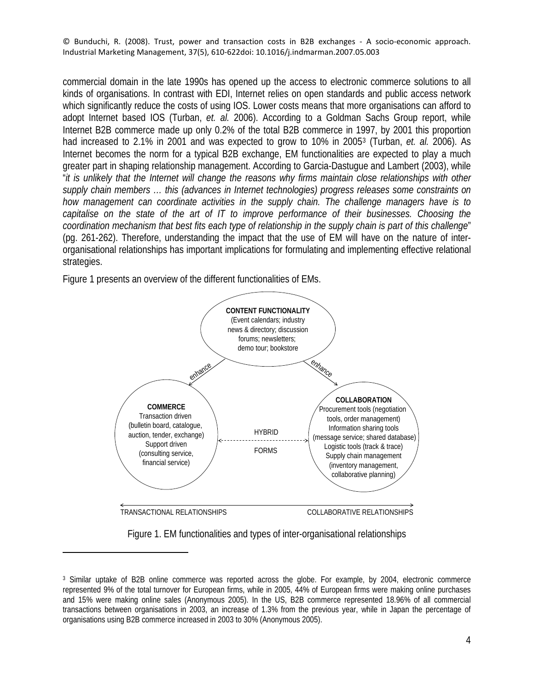commercial domain in the late 1990s has opened up the access to electronic commerce solutions to all kinds of organisations. In contrast with EDI, Internet relies on open standards and public access network which significantly reduce the costs of using IOS. Lower costs means that more organisations can afford to adopt Internet based IOS (Turban, *et. al.* 2006). According to a Goldman Sachs Group report, while Internet B2B commerce made up only 0.2% of the total B2B commerce in 1997, by 2001 this proportion had increased to 2.1% in 2001 and was expected to grow to 10% in 2005[3](#page-3-0) (Turban, *et. al.* 2006). As Internet becomes the norm for a typical B2B exchange, EM functionalities are expected to play a much greater part in shaping relationship management. According to Garcia-Dastugue and Lambert (2003), while "*it is unlikely that the Internet will change the reasons why firms maintain close relationships with other supply chain members … this (advances in Internet technologies) progress releases some constraints on how management can coordinate activities in the supply chain. The challenge managers have is to capitalise on the state of the art of IT to improve performance of their businesses. Choosing the coordination mechanism that best fits each type of relationship in the supply chain is part of this challenge*" (pg. 261-262). Therefore, understanding the impact that the use of EM will have on the nature of interorganisational relationships has important implications for formulating and implementing effective relational strategies.

Figure 1 presents an overview of the different functionalities of EMs.

 $\overline{a}$ 



Figure 1. EM functionalities and types of inter-organisational relationships

<span id="page-4-0"></span><sup>3</sup> Similar uptake of B2B online commerce was reported across the globe. For example, by 2004, electronic commerce represented 9% of the total turnover for European firms, while in 2005, 44% of European firms were making online purchases and 15% were making online sales (Anonymous 2005). In the US, B2B commerce represented 18.96% of all commercial transactions between organisations in 2003, an increase of 1.3% from the previous year, while in Japan the percentage of organisations using B2B commerce increased in 2003 to 30% (Anonymous 2005).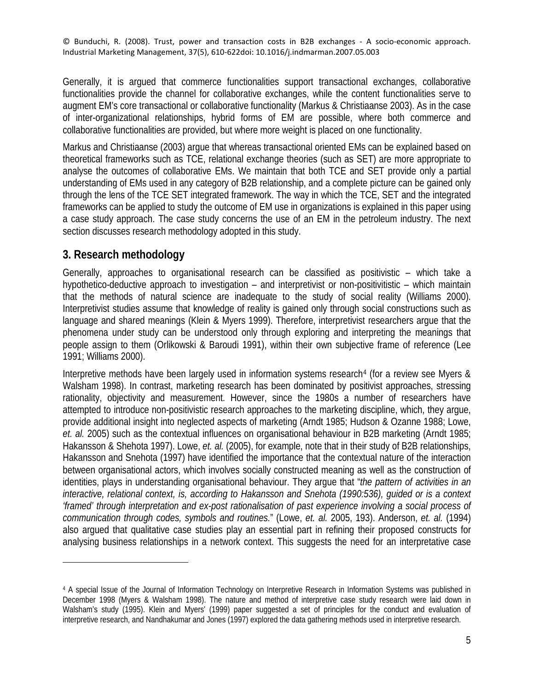Generally, it is argued that commerce functionalities support transactional exchanges, collaborative functionalities provide the channel for collaborative exchanges, while the content functionalities serve to augment EM's core transactional or collaborative functionality (Markus & Christiaanse 2003). As in the case of inter-organizational relationships, hybrid forms of EM are possible, where both commerce and collaborative functionalities are provided, but where more weight is placed on one functionality.

Markus and Christiaanse (2003) argue that whereas transactional oriented EMs can be explained based on theoretical frameworks such as TCE, relational exchange theories (such as SET) are more appropriate to analyse the outcomes of collaborative EMs. We maintain that both TCE and SET provide only a partial understanding of EMs used in any category of B2B relationship, and a complete picture can be gained only through the lens of the TCE SET integrated framework. The way in which the TCE, SET and the integrated frameworks can be applied to study the outcome of EM use in organizations is explained in this paper using a case study approach. The case study concerns the use of an EM in the petroleum industry. The next section discusses research methodology adopted in this study.

### **3. Research methodology**

 $\overline{a}$ 

Generally, approaches to organisational research can be classified as positivistic – which take a hypothetico-deductive approach to investigation – and interpretivist or non-positivitistic – which maintain that the methods of natural science are inadequate to the study of social reality (Williams 2000). Interpretivist studies assume that knowledge of reality is gained only through social constructions such as language and shared meanings (Klein & Myers 1999). Therefore, interpretivist researchers argue that the phenomena under study can be understood only through exploring and interpreting the meanings that people assign to them (Orlikowski & Baroudi 1991), within their own subjective frame of reference (Lee 1991; Williams 2000).

Interpretive methods have been largely used in information systems research<sup>[4](#page-4-0)</sup> (for a review see Myers & Walsham 1998). In contrast, marketing research has been dominated by positivist approaches, stressing rationality, objectivity and measurement. However, since the 1980s a number of researchers have attempted to introduce non-positivistic research approaches to the marketing discipline, which, they argue, provide additional insight into neglected aspects of marketing (Arndt 1985; Hudson & Ozanne 1988; Lowe, *et. al.* 2005) such as the contextual influences on organisational behaviour in B2B marketing (Arndt 1985; Hakansson & Shehota 1997). Lowe, *et. al.* (2005), for example, note that in their study of B2B relationships, Hakansson and Snehota (1997) have identified the importance that the contextual nature of the interaction between organisational actors, which involves socially constructed meaning as well as the construction of identities, plays in understanding organisational behaviour. They argue that "*the pattern of activities in an interactive, relational context, is, according to Hakansson and Snehota (1990:536), guided or is a context 'framed' through interpretation and ex-post rationalisation of past experience involving a social process of communication through codes, symbols and routines.*" (Lowe, *et. al.* 2005, 193). Anderson, *et. al.* (1994) also argued that qualitative case studies play an essential part in refining their proposed constructs for analysing business relationships in a network context. This suggests the need for an interpretative case

<sup>4</sup> A special Issue of the Journal of Information Technology on Interpretive Research in Information Systems was published in December 1998 (Myers & Walsham 1998). The nature and method of interpretive case study research were laid down in Walsham's study (1995). Klein and Myers' (1999) paper suggested a set of principles for the conduct and evaluation of interpretive research, and Nandhakumar and Jones (1997) explored the data gathering methods used in interpretive research.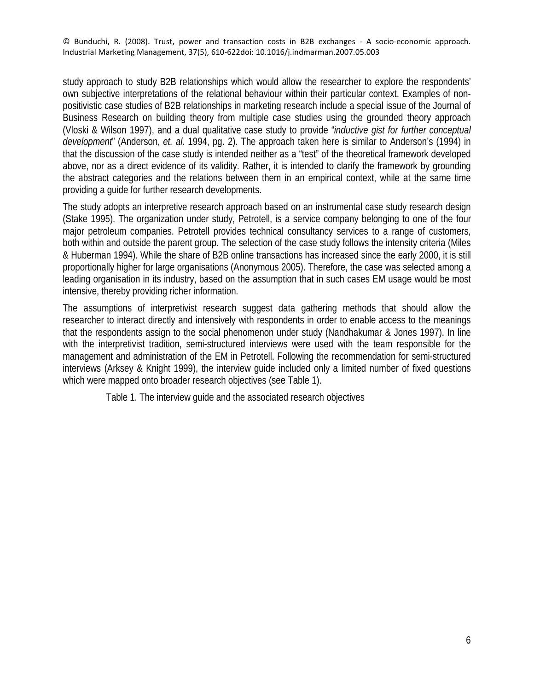study approach to study B2B relationships which would allow the researcher to explore the respondents' own subjective interpretations of the relational behaviour within their particular context. Examples of nonpositivistic case studies of B2B relationships in marketing research include a special issue of the Journal of Business Research on building theory from multiple case studies using the grounded theory approach (Vloski & Wilson 1997), and a dual qualitative case study to provide "*inductive gist for further conceptual development*" (Anderson, *et. al.* 1994, pg. 2). The approach taken here is similar to Anderson's (1994) in that the discussion of the case study is intended neither as a "test" of the theoretical framework developed above, nor as a direct evidence of its validity. Rather, it is intended to clarify the framework by grounding the abstract categories and the relations between them in an empirical context, while at the same time providing a guide for further research developments.

The study adopts an interpretive research approach based on an instrumental case study research design (Stake 1995). The organization under study, Petrotell, is a service company belonging to one of the four major petroleum companies. Petrotell provides technical consultancy services to a range of customers, both within and outside the parent group. The selection of the case study follows the intensity criteria (Miles & Huberman 1994). While the share of B2B online transactions has increased since the early 2000, it is still proportionally higher for large organisations (Anonymous 2005). Therefore, the case was selected among a leading organisation in its industry, based on the assumption that in such cases EM usage would be most intensive, thereby providing richer information.

The assumptions of interpretivist research suggest data gathering methods that should allow the researcher to interact directly and intensively with respondents in order to enable access to the meanings that the respondents assign to the social phenomenon under study (Nandhakumar & Jones 1997). In line with the interpretivist tradition, semi-structured interviews were used with the team responsible for the management and administration of the EM in Petrotell. Following the recommendation for semi-structured interviews (Arksey & Knight 1999), the interview guide included only a limited number of fixed questions which were mapped onto broader research objectives (see Table 1).

Table 1. The interview guide and the associated research objectives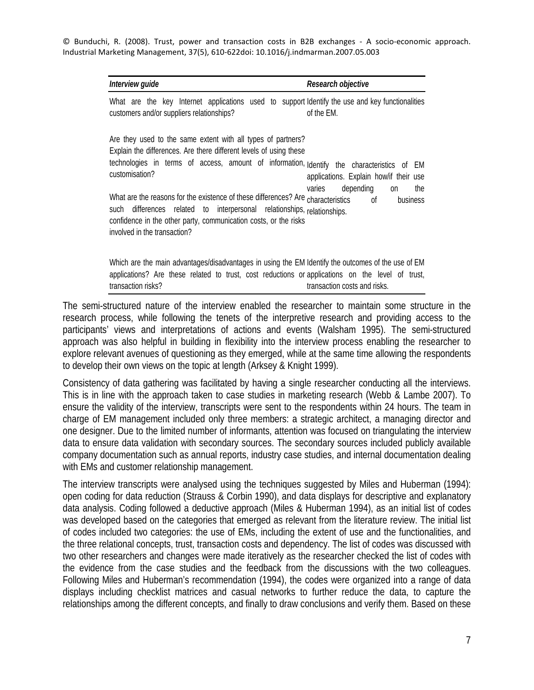| Interview guide                                                                                                                                                                                                                                                                                                                                                                                                                                                                                                          | Research objective                                                                  |
|--------------------------------------------------------------------------------------------------------------------------------------------------------------------------------------------------------------------------------------------------------------------------------------------------------------------------------------------------------------------------------------------------------------------------------------------------------------------------------------------------------------------------|-------------------------------------------------------------------------------------|
| What are the key Internet applications used to support Identify the use and key functionalities<br>customers and/or suppliers relationships?                                                                                                                                                                                                                                                                                                                                                                             | of the EM.                                                                          |
| Are they used to the same extent with all types of partners?<br>Explain the differences. Are there different levels of using these<br>technologies in terms of access, amount of information, Identify the characteristics of EM<br>customisation?<br>What are the reasons for the existence of these differences? Are characteristics of<br>such differences related to interpersonal relationships, relationships.<br>confidence in the other party, communication costs, or the risks<br>involved in the transaction? | applications. Explain how/if their use<br>varies depending<br>the<br>on<br>business |
| Which are the main advantages/disadvantages in using the EM Identify the outcomes of the use of EM<br>applications? Are these related to trust, cost reductions or applications on the level of trust,                                                                                                                                                                                                                                                                                                                   |                                                                                     |

The semi-structured nature of the interview enabled the researcher to maintain some structure in the research process, while following the tenets of the interpretive research and providing access to the participants' views and interpretations of actions and events (Walsham 1995). The semi-structured approach was also helpful in building in flexibility into the interview process enabling the researcher to explore relevant avenues of questioning as they emerged, while at the same time allowing the respondents to develop their own views on the topic at length (Arksey & Knight 1999).

transaction costs and risks.

transaction risks?

Consistency of data gathering was facilitated by having a single researcher conducting all the interviews. This is in line with the approach taken to case studies in marketing research (Webb & Lambe 2007). To ensure the validity of the interview, transcripts were sent to the respondents within 24 hours. The team in charge of EM management included only three members: a strategic architect, a managing director and one designer. Due to the limited number of informants, attention was focused on triangulating the interview data to ensure data validation with secondary sources. The secondary sources included publicly available company documentation such as annual reports, industry case studies, and internal documentation dealing with EMs and customer relationship management.

The interview transcripts were analysed using the techniques suggested by Miles and Huberman (1994): open coding for data reduction (Strauss & Corbin 1990), and data displays for descriptive and explanatory data analysis. Coding followed a deductive approach (Miles & Huberman 1994), as an initial list of codes was developed based on the categories that emerged as relevant from the literature review. The initial list of codes included two categories: the use of EMs, including the extent of use and the functionalities, and the three relational concepts, trust, transaction costs and dependency. The list of codes was discussed with two other researchers and changes were made iteratively as the researcher checked the list of codes with the evidence from the case studies and the feedback from the discussions with the two colleagues. Following Miles and Huberman's recommendation (1994), the codes were organized into a range of data displays including checklist matrices and casual networks to further reduce the data, to capture the relationships among the different concepts, and finally to draw conclusions and verify them. Based on these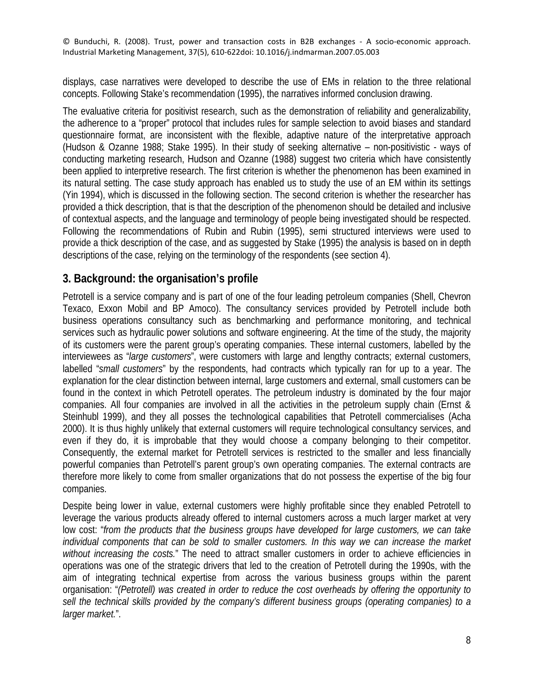displays, case narratives were developed to describe the use of EMs in relation to the three relational concepts. Following Stake's recommendation (1995), the narratives informed conclusion drawing.

The evaluative criteria for positivist research, such as the demonstration of reliability and generalizability, the adherence to a "proper" protocol that includes rules for sample selection to avoid biases and standard questionnaire format, are inconsistent with the flexible, adaptive nature of the interpretative approach (Hudson & Ozanne 1988; Stake 1995). In their study of seeking alternative – non-positivistic - ways of conducting marketing research, Hudson and Ozanne (1988) suggest two criteria which have consistently been applied to interpretive research. The first criterion is whether the phenomenon has been examined in its natural setting. The case study approach has enabled us to study the use of an EM within its settings (Yin 1994), which is discussed in the following section. The second criterion is whether the researcher has provided a thick description, that is that the description of the phenomenon should be detailed and inclusive of contextual aspects, and the language and terminology of people being investigated should be respected. Following the recommendations of Rubin and Rubin (1995), semi structured interviews were used to provide a thick description of the case, and as suggested by Stake (1995) the analysis is based on in depth descriptions of the case, relying on the terminology of the respondents (see section 4).

### **3. Background: the organisation's profile**

Petrotell is a service company and is part of one of the four leading petroleum companies (Shell, Chevron Texaco, Exxon Mobil and BP Amoco). The consultancy services provided by Petrotell include both business operations consultancy such as benchmarking and performance monitoring, and technical services such as hydraulic power solutions and software engineering. At the time of the study, the majority of its customers were the parent group's operating companies. These internal customers, labelled by the interviewees as "*large customers*", were customers with large and lengthy contracts; external customers, labelled "*small customers*" by the respondents, had contracts which typically ran for up to a year. The explanation for the clear distinction between internal, large customers and external, small customers can be found in the context in which Petrotell operates. The petroleum industry is dominated by the four major companies. All four companies are involved in all the activities in the petroleum supply chain (Ernst & Steinhubl 1999), and they all posses the technological capabilities that Petrotell commercialises (Acha 2000). It is thus highly unlikely that external customers will require technological consultancy services, and even if they do, it is improbable that they would choose a company belonging to their competitor. Consequently, the external market for Petrotell services is restricted to the smaller and less financially powerful companies than Petrotell's parent group's own operating companies. The external contracts are therefore more likely to come from smaller organizations that do not possess the expertise of the big four companies.

Despite being lower in value, external customers were highly profitable since they enabled Petrotell to leverage the various products already offered to internal customers across a much larger market at very low cost: "*from the products that the business groups have developed for large customers, we can take individual components that can be sold to smaller customers. In this way we can increase the market without increasing the costs.*" The need to attract smaller customers in order to achieve efficiencies in operations was one of the strategic drivers that led to the creation of Petrotell during the 1990s, with the aim of integrating technical expertise from across the various business groups within the parent organisation: "*(Petrotell) was created in order to reduce the cost overheads by offering the opportunity to sell the technical skills provided by the company's different business groups (operating companies) to a larger market.*".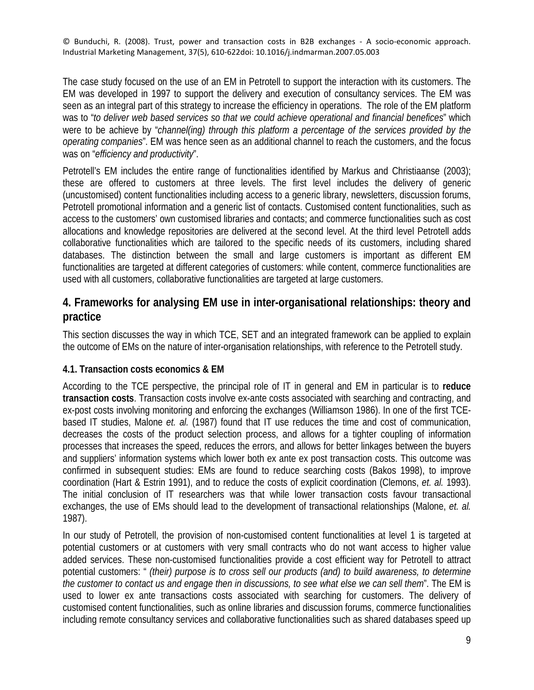The case study focused on the use of an EM in Petrotell to support the interaction with its customers. The EM was developed in 1997 to support the delivery and execution of consultancy services. The EM was seen as an integral part of this strategy to increase the efficiency in operations. The role of the EM platform was to "*to deliver web based services so that we could achieve operational and financial benefices*" which were to be achieve by "*channel(ing) through this platform a percentage of the services provided by the operating companies*". EM was hence seen as an additional channel to reach the customers, and the focus was on "*efficiency and productivity*".

Petrotell's EM includes the entire range of functionalities identified by Markus and Christiaanse (2003); these are offered to customers at three levels. The first level includes the delivery of generic (uncustomised) content functionalities including access to a generic library, newsletters, discussion forums, Petrotell promotional information and a generic list of contacts. Customised content functionalities, such as access to the customers' own customised libraries and contacts; and commerce functionalities such as cost allocations and knowledge repositories are delivered at the second level. At the third level Petrotell adds collaborative functionalities which are tailored to the specific needs of its customers, including shared databases. The distinction between the small and large customers is important as different EM functionalities are targeted at different categories of customers: while content, commerce functionalities are used with all customers, collaborative functionalities are targeted at large customers.

## **4. Frameworks for analysing EM use in inter-organisational relationships: theory and practice**

This section discusses the way in which TCE, SET and an integrated framework can be applied to explain the outcome of EMs on the nature of inter-organisation relationships, with reference to the Petrotell study.

#### **4.1. Transaction costs economics & EM**

According to the TCE perspective, the principal role of IT in general and EM in particular is to **reduce transaction costs**. Transaction costs involve ex-ante costs associated with searching and contracting, and ex-post costs involving monitoring and enforcing the exchanges (Williamson 1986). In one of the first TCEbased IT studies, Malone *et. al.* (1987) found that IT use reduces the time and cost of communication, decreases the costs of the product selection process, and allows for a tighter coupling of information processes that increases the speed, reduces the errors, and allows for better linkages between the buyers and suppliers' information systems which lower both ex ante ex post transaction costs. This outcome was confirmed in subsequent studies: EMs are found to reduce searching costs (Bakos 1998), to improve coordination (Hart & Estrin 1991), and to reduce the costs of explicit coordination (Clemons, *et. al.* 1993). The initial conclusion of IT researchers was that while lower transaction costs favour transactional exchanges, the use of EMs should lead to the development of transactional relationships (Malone, *et. al.* 1987).

In our study of Petrotell, the provision of non-customised content functionalities at level 1 is targeted at potential customers or at customers with very small contracts who do not want access to higher value added services. These non-customised functionalities provide a cost efficient way for Petrotell to attract potential customers: " *(their) purpose is to cross sell our products (and) to build awareness, to determine the customer to contact us and engage then in discussions, to see what else we can sell them*". The EM is used to lower ex ante transactions costs associated with searching for customers. The delivery of customised content functionalities, such as online libraries and discussion forums, commerce functionalities including remote consultancy services and collaborative functionalities such as shared databases speed up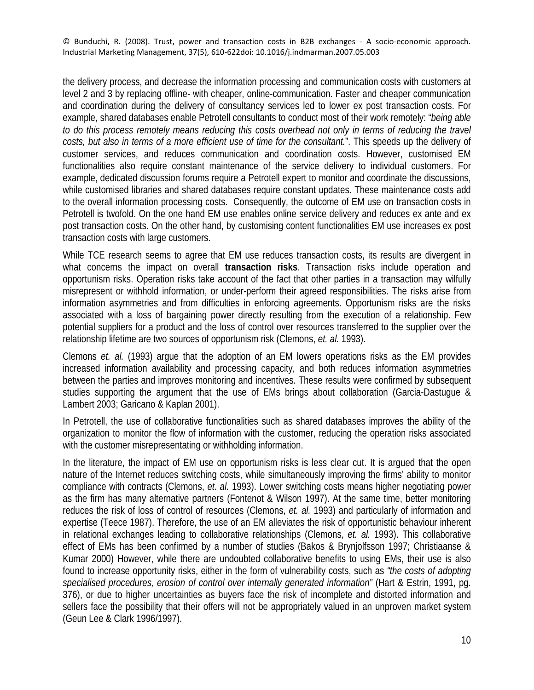the delivery process, and decrease the information processing and communication costs with customers at level 2 and 3 by replacing offline- with cheaper, online-communication. Faster and cheaper communication and coordination during the delivery of consultancy services led to lower ex post transaction costs. For example, shared databases enable Petrotell consultants to conduct most of their work remotely: "*being able*  to do this process remotely means reducing this costs overhead not only in terms of reducing the travel *costs, but also in terms of a more efficient use of time for the consultant.*". This speeds up the delivery of customer services, and reduces communication and coordination costs. However, customised EM functionalities also require constant maintenance of the service delivery to individual customers. For example, dedicated discussion forums require a Petrotell expert to monitor and coordinate the discussions, while customised libraries and shared databases require constant updates. These maintenance costs add to the overall information processing costs. Consequently, the outcome of EM use on transaction costs in Petrotell is twofold. On the one hand EM use enables online service delivery and reduces ex ante and ex post transaction costs. On the other hand, by customising content functionalities EM use increases ex post transaction costs with large customers.

While TCE research seems to agree that EM use reduces transaction costs, its results are divergent in what concerns the impact on overall **transaction risks**. Transaction risks include operation and opportunism risks. Operation risks take account of the fact that other parties in a transaction may wilfully misrepresent or withhold information, or under-perform their agreed responsibilities. The risks arise from information asymmetries and from difficulties in enforcing agreements. Opportunism risks are the risks associated with a loss of bargaining power directly resulting from the execution of a relationship. Few potential suppliers for a product and the loss of control over resources transferred to the supplier over the relationship lifetime are two sources of opportunism risk (Clemons, *et. al.* 1993).

Clemons *et. al.* (1993) argue that the adoption of an EM lowers operations risks as the EM provides increased information availability and processing capacity, and both reduces information asymmetries between the parties and improves monitoring and incentives. These results were confirmed by subsequent studies supporting the argument that the use of EMs brings about collaboration (Garcia-Dastugue & Lambert 2003; Garicano & Kaplan 2001).

In Petrotell, the use of collaborative functionalities such as shared databases improves the ability of the organization to monitor the flow of information with the customer, reducing the operation risks associated with the customer misrepresentating or withholding information.

In the literature, the impact of EM use on opportunism risks is less clear cut. It is argued that the open nature of the Internet reduces switching costs, while simultaneously improving the firms' ability to monitor compliance with contracts (Clemons, *et. al.* 1993). Lower switching costs means higher negotiating power as the firm has many alternative partners (Fontenot & Wilson 1997). At the same time, better monitoring reduces the risk of loss of control of resources (Clemons, *et. al.* 1993) and particularly of information and expertise (Teece 1987). Therefore, the use of an EM alleviates the risk of opportunistic behaviour inherent in relational exchanges leading to collaborative relationships (Clemons, *et. al.* 1993). This collaborative effect of EMs has been confirmed by a number of studies (Bakos & Brynjolfsson 1997; Christiaanse & Kumar 2000) However, while there are undoubted collaborative benefits to using EMs, their use is also found to increase opportunity risks, either in the form of vulnerability costs, such as *"the costs of adopting specialised procedures, erosion of control over internally generated information"* (Hart & Estrin, 1991, pg. 376), or due to higher uncertainties as buyers face the risk of incomplete and distorted information and sellers face the possibility that their offers will not be appropriately valued in an unproven market system (Geun Lee & Clark 1996/1997).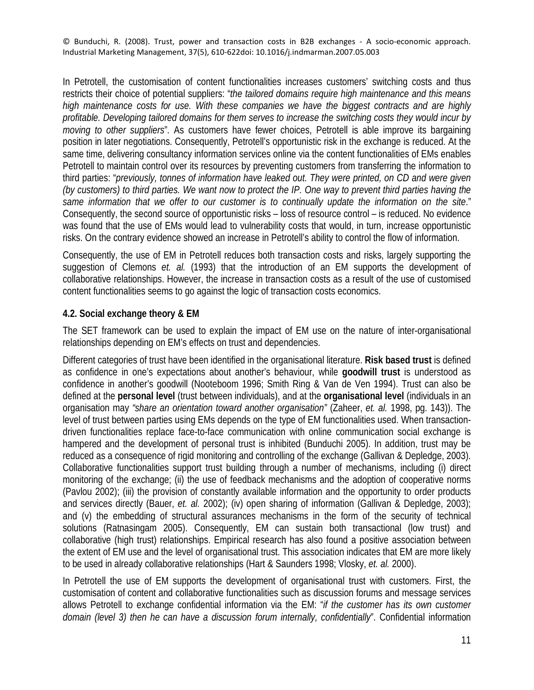In Petrotell, the customisation of content functionalities increases customers' switching costs and thus restricts their choice of potential suppliers: "*the tailored domains require high maintenance and this means high maintenance costs for use. With these companies we have the biggest contracts and are highly profitable. Developing tailored domains for them serves to increase the switching costs they would incur by moving to other suppliers*". As customers have fewer choices, Petrotell is able improve its bargaining position in later negotiations. Consequently, Petrotell's opportunistic risk in the exchange is reduced. At the same time, delivering consultancy information services online via the content functionalities of EMs enables Petrotell to maintain control over its resources by preventing customers from transferring the information to third parties: "*previously, tonnes of information have leaked out. They were printed, on CD and were given (by customers) to third parties. We want now to protect the IP. One way to prevent third parties having the same information that we offer to our customer is to continually update the information on the site*." Consequently, the second source of opportunistic risks – loss of resource control – is reduced. No evidence was found that the use of EMs would lead to vulnerability costs that would, in turn, increase opportunistic risks. On the contrary evidence showed an increase in Petrotell's ability to control the flow of information.

Consequently, the use of EM in Petrotell reduces both transaction costs and risks, largely supporting the suggestion of Clemons *et. al.* (1993) that the introduction of an EM supports the development of collaborative relationships. However, the increase in transaction costs as a result of the use of customised content functionalities seems to go against the logic of transaction costs economics.

#### **4.2. Social exchange theory & EM**

The SET framework can be used to explain the impact of EM use on the nature of inter-organisational relationships depending on EM's effects on trust and dependencies.

Different categories of trust have been identified in the organisational literature. **Risk based trust** is defined as confidence in one's expectations about another's behaviour, while **goodwill trust** is understood as confidence in another's goodwill (Nooteboom 1996; Smith Ring & Van de Ven 1994). Trust can also be defined at the **personal level** (trust between individuals), and at the **organisational level** (individuals in an organisation may *"share an orientation toward another organisation"* (Zaheer, *et. al.* 1998, pg. 143)). The level of trust between parties using EMs depends on the type of EM functionalities used. When transactiondriven functionalities replace face-to-face communication with online communication social exchange is hampered and the development of personal trust is inhibited (Bunduchi 2005). In addition, trust may be reduced as a consequence of rigid monitoring and controlling of the exchange (Gallivan & Depledge, 2003). Collaborative functionalities support trust building through a number of mechanisms, including (i) direct monitoring of the exchange; (ii) the use of feedback mechanisms and the adoption of cooperative norms (Pavlou 2002); (iii) the provision of constantly available information and the opportunity to order products and services directly (Bauer, *et. al.* 2002); (iv) open sharing of information (Gallivan & Depledge, 2003); and (v) the embedding of structural assurances mechanisms in the form of the security of technical solutions (Ratnasingam 2005). Consequently, EM can sustain both transactional (low trust) and collaborative (high trust) relationships. Empirical research has also found a positive association between the extent of EM use and the level of organisational trust. This association indicates that EM are more likely to be used in already collaborative relationships (Hart & Saunders 1998; Vlosky, *et. al.* 2000).

In Petrotell the use of EM supports the development of organisational trust with customers. First, the customisation of content and collaborative functionalities such as discussion forums and message services allows Petrotell to exchange confidential information via the EM: "*if the customer has its own customer domain (level 3) then he can have a discussion forum internally, confidentially*". Confidential information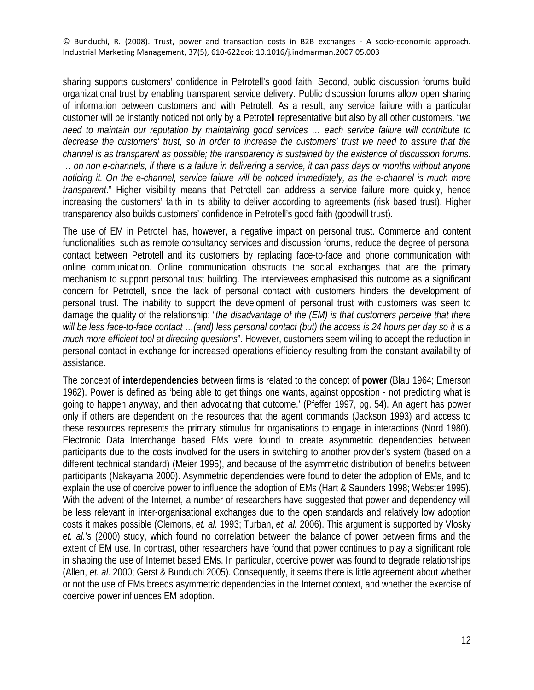sharing supports customers' confidence in Petrotell's good faith. Second, public discussion forums build organizational trust by enabling transparent service delivery. Public discussion forums allow open sharing of information between customers and with Petrotell. As a result, any service failure with a particular customer will be instantly noticed not only by a Petrotell representative but also by all other customers. "*we need to maintain our reputation by maintaining good services … each service failure will contribute to decrease the customers' trust, so in order to increase the customers' trust we need to assure that the channel is as transparent as possible; the transparency is sustained by the existence of discussion forums. … on non e-channels, if there is a failure in delivering a service, it can pass days or months without anyone noticing it. On the e-channel, service failure will be noticed immediately, as the e-channel is much more transparent*." Higher visibility means that Petrotell can address a service failure more quickly, hence increasing the customers' faith in its ability to deliver according to agreements (risk based trust). Higher transparency also builds customers' confidence in Petrotell's good faith (goodwill trust).

The use of EM in Petrotell has, however, a negative impact on personal trust. Commerce and content functionalities, such as remote consultancy services and discussion forums, reduce the degree of personal contact between Petrotell and its customers by replacing face-to-face and phone communication with online communication. Online communication obstructs the social exchanges that are the primary mechanism to support personal trust building. The interviewees emphasised this outcome as a significant concern for Petrotell, since the lack of personal contact with customers hinders the development of personal trust. The inability to support the development of personal trust with customers was seen to damage the quality of the relationship: "*the disadvantage of the (EM) is that customers perceive that there will be less face-to-face contact …(and) less personal contact (but) the access is 24 hours per day so it is a much more efficient tool at directing questions*". However, customers seem willing to accept the reduction in personal contact in exchange for increased operations efficiency resulting from the constant availability of assistance.

The concept of **interdependencies** between firms is related to the concept of **power** (Blau 1964; Emerson 1962). Power is defined as 'being able to get things one wants, against opposition - not predicting what is going to happen anyway, and then advocating that outcome.' (Pfeffer 1997, pg. 54). An agent has power only if others are dependent on the resources that the agent commands (Jackson 1993) and access to these resources represents the primary stimulus for organisations to engage in interactions (Nord 1980). Electronic Data Interchange based EMs were found to create asymmetric dependencies between participants due to the costs involved for the users in switching to another provider's system (based on a different technical standard) (Meier 1995), and because of the asymmetric distribution of benefits between participants (Nakayama 2000). Asymmetric dependencies were found to deter the adoption of EMs, and to explain the use of coercive power to influence the adoption of EMs (Hart & Saunders 1998; Webster 1995). With the advent of the Internet, a number of researchers have suggested that power and dependency will be less relevant in inter-organisational exchanges due to the open standards and relatively low adoption costs it makes possible (Clemons, *et. al.* 1993; Turban, *et. al.* 2006). This argument is supported by Vlosky *et. al.*'s (2000) study, which found no correlation between the balance of power between firms and the extent of EM use. In contrast, other researchers have found that power continues to play a significant role in shaping the use of Internet based EMs. In particular, coercive power was found to degrade relationships (Allen, *et. al.* 2000; Gerst & Bunduchi 2005). Consequently, it seems there is little agreement about whether or not the use of EMs breeds asymmetric dependencies in the Internet context, and whether the exercise of coercive power influences EM adoption.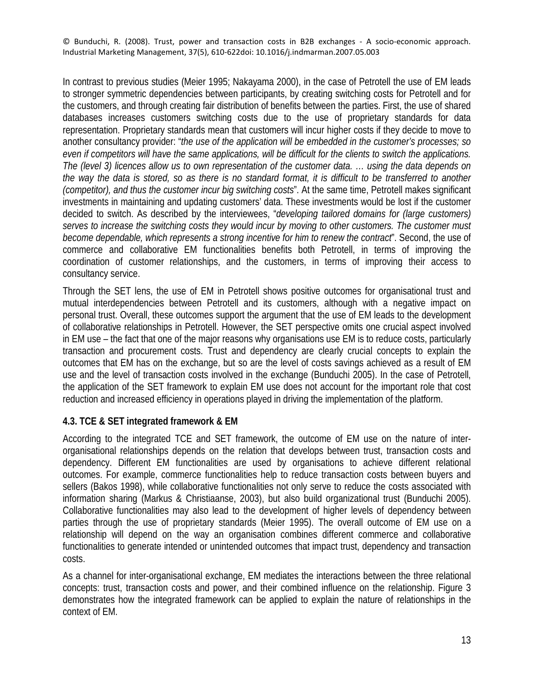In contrast to previous studies (Meier 1995; Nakayama 2000), in the case of Petrotell the use of EM leads to stronger symmetric dependencies between participants, by creating switching costs for Petrotell and for the customers, and through creating fair distribution of benefits between the parties. First, the use of shared databases increases customers switching costs due to the use of proprietary standards for data representation. Proprietary standards mean that customers will incur higher costs if they decide to move to another consultancy provider: "*the use of the application will be embedded in the customer's processes; so even if competitors will have the same applications, will be difficult for the clients to switch the applications. The (level 3) licences allow us to own representation of the customer data. … using the data depends on the way the data is stored, so as there is no standard format, it is difficult to be transferred to another (competitor), and thus the customer incur big switching costs*". At the same time, Petrotell makes significant investments in maintaining and updating customers' data. These investments would be lost if the customer decided to switch. As described by the interviewees, "*developing tailored domains for (large customers) serves to increase the switching costs they would incur by moving to other customers. The customer must become dependable, which represents a strong incentive for him to renew the contract*". Second, the use of commerce and collaborative EM functionalities benefits both Petrotell, in terms of improving the coordination of customer relationships, and the customers, in terms of improving their access to consultancy service.

Through the SET lens, the use of EM in Petrotell shows positive outcomes for organisational trust and mutual interdependencies between Petrotell and its customers, although with a negative impact on personal trust. Overall, these outcomes support the argument that the use of EM leads to the development of collaborative relationships in Petrotell. However, the SET perspective omits one crucial aspect involved in EM use – the fact that one of the major reasons why organisations use EM is to reduce costs, particularly transaction and procurement costs. Trust and dependency are clearly crucial concepts to explain the outcomes that EM has on the exchange, but so are the level of costs savings achieved as a result of EM use and the level of transaction costs involved in the exchange (Bunduchi 2005). In the case of Petrotell, the application of the SET framework to explain EM use does not account for the important role that cost reduction and increased efficiency in operations played in driving the implementation of the platform.

#### **4.3. TCE & SET integrated framework & EM**

According to the integrated TCE and SET framework, the outcome of EM use on the nature of interorganisational relationships depends on the relation that develops between trust, transaction costs and dependency. Different EM functionalities are used by organisations to achieve different relational outcomes. For example, commerce functionalities help to reduce transaction costs between buyers and sellers (Bakos 1998), while collaborative functionalities not only serve to reduce the costs associated with information sharing (Markus & Christiaanse, 2003), but also build organizational trust (Bunduchi 2005). Collaborative functionalities may also lead to the development of higher levels of dependency between parties through the use of proprietary standards (Meier 1995). The overall outcome of EM use on a relationship will depend on the way an organisation combines different commerce and collaborative functionalities to generate intended or unintended outcomes that impact trust, dependency and transaction costs.

As a channel for inter-organisational exchange, EM mediates the interactions between the three relational concepts: trust, transaction costs and power, and their combined influence on the relationship. Figure 3 demonstrates how the integrated framework can be applied to explain the nature of relationships in the context of EM.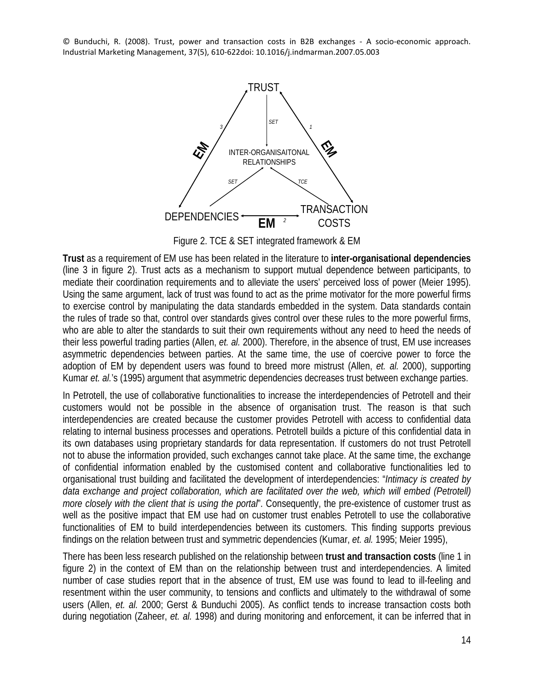

Figure 2. TCE & SET integrated framework & EM

**Trust** as a requirement of EM use has been related in the literature to **inter-organisational dependencies**  (line 3 in figure 2). Trust acts as a mechanism to support mutual dependence between participants, to mediate their coordination requirements and to alleviate the users' perceived loss of power (Meier 1995). Using the same argument, lack of trust was found to act as the prime motivator for the more powerful firms to exercise control by manipulating the data standards embedded in the system. Data standards contain the rules of trade so that, control over standards gives control over these rules to the more powerful firms, who are able to alter the standards to suit their own requirements without any need to heed the needs of their less powerful trading parties (Allen, *et. al.* 2000). Therefore, in the absence of trust, EM use increases asymmetric dependencies between parties. At the same time, the use of coercive power to force the adoption of EM by dependent users was found to breed more mistrust (Allen, *et. al.* 2000), supporting Kumar *et. al.*'s (1995) argument that asymmetric dependencies decreases trust between exchange parties.

In Petrotell, the use of collaborative functionalities to increase the interdependencies of Petrotell and their customers would not be possible in the absence of organisation trust. The reason is that such interdependencies are created because the customer provides Petrotell with access to confidential data relating to internal business processes and operations. Petrotell builds a picture of this confidential data in its own databases using proprietary standards for data representation. If customers do not trust Petrotell not to abuse the information provided, such exchanges cannot take place. At the same time, the exchange of confidential information enabled by the customised content and collaborative functionalities led to organisational trust building and facilitated the development of interdependencies: "*Intimacy is created by data exchange and project collaboration, which are facilitated over the web, which will embed (Petrotell) more closely with the client that is using the portal*". Consequently, the pre-existence of customer trust as well as the positive impact that EM use had on customer trust enables Petrotell to use the collaborative functionalities of EM to build interdependencies between its customers. This finding supports previous findings on the relation between trust and symmetric dependencies (Kumar, *et. al.* 1995; Meier 1995),

There has been less research published on the relationship between **trust and transaction costs** (line 1 in figure 2) in the context of EM than on the relationship between trust and interdependencies. A limited number of case studies report that in the absence of trust, EM use was found to lead to ill-feeling and resentment within the user community, to tensions and conflicts and ultimately to the withdrawal of some users (Allen, *et. al.* 2000; Gerst & Bunduchi 2005). As conflict tends to increase transaction costs both during negotiation (Zaheer, *et. al.* 1998) and during monitoring and enforcement, it can be inferred that in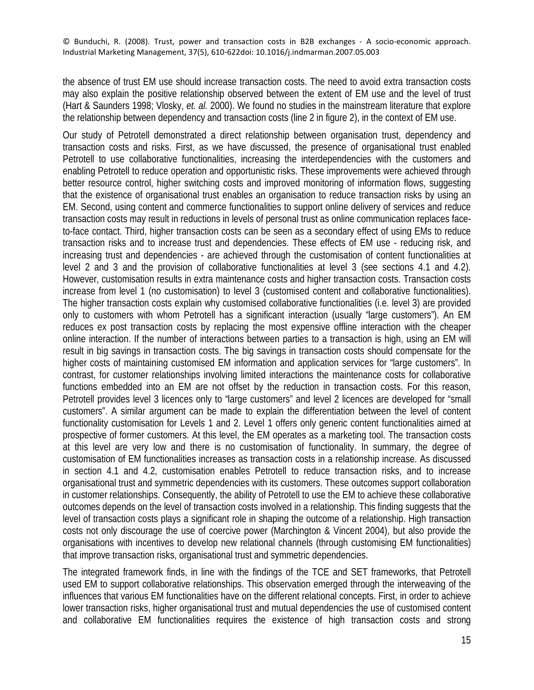the absence of trust EM use should increase transaction costs. The need to avoid extra transaction costs may also explain the positive relationship observed between the extent of EM use and the level of trust (Hart & Saunders 1998; Vlosky, *et. al.* 2000). We found no studies in the mainstream literature that explore the relationship between dependency and transaction costs (line 2 in figure 2), in the context of EM use.

Our study of Petrotell demonstrated a direct relationship between organisation trust, dependency and transaction costs and risks. First, as we have discussed, the presence of organisational trust enabled Petrotell to use collaborative functionalities, increasing the interdependencies with the customers and enabling Petrotell to reduce operation and opportunistic risks. These improvements were achieved through better resource control, higher switching costs and improved monitoring of information flows, suggesting that the existence of organisational trust enables an organisation to reduce transaction risks by using an EM. Second, using content and commerce functionalities to support online delivery of services and reduce transaction costs may result in reductions in levels of personal trust as online communication replaces faceto-face contact. Third, higher transaction costs can be seen as a secondary effect of using EMs to reduce transaction risks and to increase trust and dependencies. These effects of EM use - reducing risk, and increasing trust and dependencies - are achieved through the customisation of content functionalities at level 2 and 3 and the provision of collaborative functionalities at level 3 (see sections 4.1 and 4.2). However, customisation results in extra maintenance costs and higher transaction costs. Transaction costs increase from level 1 (no customisation) to level 3 (customised content and collaborative functionalities). The higher transaction costs explain why customised collaborative functionalities (i.e. level 3) are provided only to customers with whom Petrotell has a significant interaction (usually "large customers"). An EM reduces ex post transaction costs by replacing the most expensive offline interaction with the cheaper online interaction. If the number of interactions between parties to a transaction is high, using an EM will result in big savings in transaction costs. The big savings in transaction costs should compensate for the higher costs of maintaining customised EM information and application services for "large customers". In contrast, for customer relationships involving limited interactions the maintenance costs for collaborative functions embedded into an EM are not offset by the reduction in transaction costs. For this reason, Petrotell provides level 3 licences only to "large customers" and level 2 licences are developed for "small customers". A similar argument can be made to explain the differentiation between the level of content functionality customisation for Levels 1 and 2. Level 1 offers only generic content functionalities aimed at prospective of former customers. At this level, the EM operates as a marketing tool. The transaction costs at this level are very low and there is no customisation of functionality. In summary, the degree of customisation of EM functionalities increases as transaction costs in a relationship increase. As discussed in section 4.1 and 4.2, customisation enables Petrotell to reduce transaction risks, and to increase organisational trust and symmetric dependencies with its customers. These outcomes support collaboration in customer relationships. Consequently, the ability of Petrotell to use the EM to achieve these collaborative outcomes depends on the level of transaction costs involved in a relationship. This finding suggests that the level of transaction costs plays a significant role in shaping the outcome of a relationship. High transaction costs not only discourage the use of coercive power (Marchington & Vincent 2004), but also provide the organisations with incentives to develop new relational channels (through customising EM functionalities) that improve transaction risks, organisational trust and symmetric dependencies.

The integrated framework finds, in line with the findings of the TCE and SET frameworks, that Petrotell used EM to support collaborative relationships. This observation emerged through the interweaving of the influences that various EM functionalities have on the different relational concepts. First, in order to achieve lower transaction risks, higher organisational trust and mutual dependencies the use of customised content and collaborative EM functionalities requires the existence of high transaction costs and strong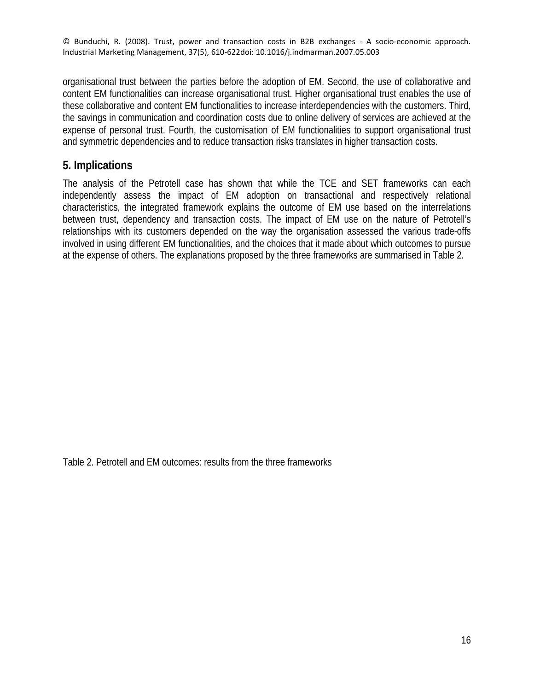organisational trust between the parties before the adoption of EM. Second, the use of collaborative and content EM functionalities can increase organisational trust. Higher organisational trust enables the use of these collaborative and content EM functionalities to increase interdependencies with the customers. Third, the savings in communication and coordination costs due to online delivery of services are achieved at the expense of personal trust. Fourth, the customisation of EM functionalities to support organisational trust and symmetric dependencies and to reduce transaction risks translates in higher transaction costs.

#### **5. Implications**

The analysis of the Petrotell case has shown that while the TCE and SET frameworks can each independently assess the impact of EM adoption on transactional and respectively relational characteristics, the integrated framework explains the outcome of EM use based on the interrelations between trust, dependency and transaction costs. The impact of EM use on the nature of Petrotell's relationships with its customers depended on the way the organisation assessed the various trade-offs involved in using different EM functionalities, and the choices that it made about which outcomes to pursue at the expense of others. The explanations proposed by the three frameworks are summarised in Table 2.

Table 2. Petrotell and EM outcomes: results from the three frameworks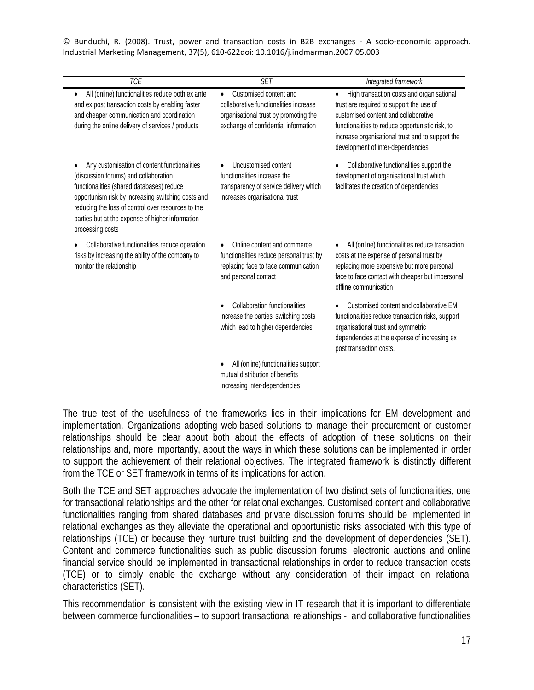| <b>TCE</b>                                                                                                                                                                                                                                                                                                             | <b>SET</b>                                                                                                                                        | Integrated framework                                                                                                                                                                                                                                                                    |
|------------------------------------------------------------------------------------------------------------------------------------------------------------------------------------------------------------------------------------------------------------------------------------------------------------------------|---------------------------------------------------------------------------------------------------------------------------------------------------|-----------------------------------------------------------------------------------------------------------------------------------------------------------------------------------------------------------------------------------------------------------------------------------------|
| All (online) functionalities reduce both ex ante<br>and ex post transaction costs by enabling faster<br>and cheaper communication and coordination<br>during the online delivery of services / products                                                                                                                | Customised content and<br>collaborative functionalities increase<br>organisational trust by promoting the<br>exchange of confidential information | High transaction costs and organisational<br>$\bullet$<br>trust are required to support the use of<br>customised content and collaborative<br>functionalities to reduce opportunistic risk, to<br>increase organisational trust and to support the<br>development of inter-dependencies |
| Any customisation of content functionalities<br>(discussion forums) and collaboration<br>functionalities (shared databases) reduce<br>opportunism risk by increasing switching costs and<br>reducing the loss of control over resources to the<br>parties but at the expense of higher information<br>processing costs | Uncustomised content<br>functionalities increase the<br>transparency of service delivery which<br>increases organisational trust                  | Collaborative functionalities support the<br>development of organisational trust which<br>facilitates the creation of dependencies                                                                                                                                                      |
| Collaborative functionalities reduce operation<br>risks by increasing the ability of the company to<br>monitor the relationship                                                                                                                                                                                        | Online content and commerce<br>functionalities reduce personal trust by<br>replacing face to face communication<br>and personal contact           | All (online) functionalities reduce transaction<br>costs at the expense of personal trust by<br>replacing more expensive but more personal<br>face to face contact with cheaper but impersonal<br>offline communication                                                                 |
|                                                                                                                                                                                                                                                                                                                        | Collaboration functionalities<br>increase the parties' switching costs<br>which lead to higher dependencies                                       | Customised content and collaborative EM<br>functionalities reduce transaction risks, support<br>organisational trust and symmetric<br>dependencies at the expense of increasing ex<br>post transaction costs.                                                                           |
|                                                                                                                                                                                                                                                                                                                        | All (online) functionalities support<br>mutual distribution of benefits<br>increasing inter-dependencies                                          |                                                                                                                                                                                                                                                                                         |

The true test of the usefulness of the frameworks lies in their implications for EM development and implementation. Organizations adopting web-based solutions to manage their procurement or customer relationships should be clear about both about the effects of adoption of these solutions on their relationships and, more importantly, about the ways in which these solutions can be implemented in order to support the achievement of their relational objectives. The integrated framework is distinctly different from the TCE or SET framework in terms of its implications for action.

Both the TCE and SET approaches advocate the implementation of two distinct sets of functionalities, one for transactional relationships and the other for relational exchanges. Customised content and collaborative functionalities ranging from shared databases and private discussion forums should be implemented in relational exchanges as they alleviate the operational and opportunistic risks associated with this type of relationships (TCE) or because they nurture trust building and the development of dependencies (SET). Content and commerce functionalities such as public discussion forums, electronic auctions and online financial service should be implemented in transactional relationships in order to reduce transaction costs (TCE) or to simply enable the exchange without any consideration of their impact on relational characteristics (SET).

This recommendation is consistent with the existing view in IT research that it is important to differentiate between commerce functionalities – to support transactional relationships - and collaborative functionalities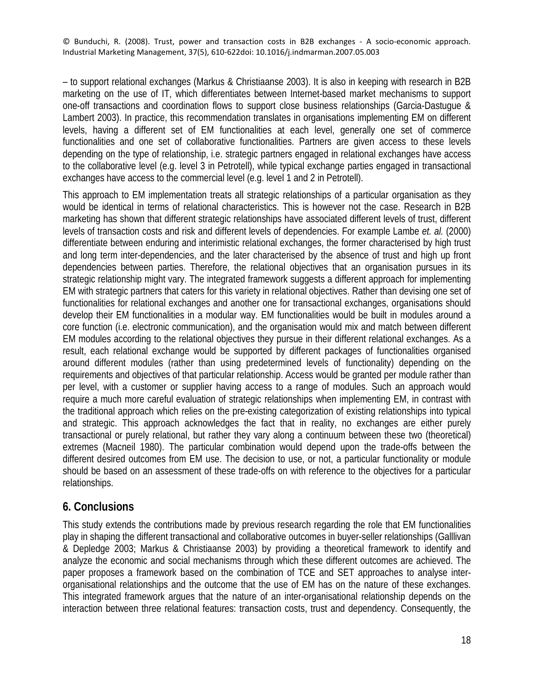– to support relational exchanges (Markus & Christiaanse 2003). It is also in keeping with research in B2B marketing on the use of IT, which differentiates between Internet-based market mechanisms to support one-off transactions and coordination flows to support close business relationships (Garcia-Dastugue & Lambert 2003). In practice, this recommendation translates in organisations implementing EM on different levels, having a different set of EM functionalities at each level, generally one set of commerce functionalities and one set of collaborative functionalities. Partners are given access to these levels depending on the type of relationship, i.e. strategic partners engaged in relational exchanges have access to the collaborative level (e.g. level 3 in Petrotell), while typical exchange parties engaged in transactional exchanges have access to the commercial level (e.g. level 1 and 2 in Petrotell).

This approach to EM implementation treats all strategic relationships of a particular organisation as they would be identical in terms of relational characteristics. This is however not the case. Research in B2B marketing has shown that different strategic relationships have associated different levels of trust, different levels of transaction costs and risk and different levels of dependencies. For example Lambe *et. al.* (2000) differentiate between enduring and interimistic relational exchanges, the former characterised by high trust and long term inter-dependencies, and the later characterised by the absence of trust and high up front dependencies between parties. Therefore, the relational objectives that an organisation pursues in its strategic relationship might vary. The integrated framework suggests a different approach for implementing EM with strategic partners that caters for this variety in relational objectives. Rather than devising one set of functionalities for relational exchanges and another one for transactional exchanges, organisations should develop their EM functionalities in a modular way. EM functionalities would be built in modules around a core function (i.e. electronic communication), and the organisation would mix and match between different EM modules according to the relational objectives they pursue in their different relational exchanges. As a result, each relational exchange would be supported by different packages of functionalities organised around different modules (rather than using predetermined levels of functionality) depending on the requirements and objectives of that particular relationship. Access would be granted per module rather than per level, with a customer or supplier having access to a range of modules. Such an approach would require a much more careful evaluation of strategic relationships when implementing EM, in contrast with the traditional approach which relies on the pre-existing categorization of existing relationships into typical and strategic. This approach acknowledges the fact that in reality, no exchanges are either purely transactional or purely relational, but rather they vary along a continuum between these two (theoretical) extremes (Macneil 1980). The particular combination would depend upon the trade-offs between the different desired outcomes from EM use. The decision to use, or not, a particular functionality or module should be based on an assessment of these trade-offs on with reference to the objectives for a particular relationships.

### **6. Conclusions**

This study extends the contributions made by previous research regarding the role that EM functionalities play in shaping the different transactional and collaborative outcomes in buyer-seller relationships (Galllivan & Depledge 2003; Markus & Christiaanse 2003) by providing a theoretical framework to identify and analyze the economic and social mechanisms through which these different outcomes are achieved. The paper proposes a framework based on the combination of TCE and SET approaches to analyse interorganisational relationships and the outcome that the use of EM has on the nature of these exchanges. This integrated framework argues that the nature of an inter-organisational relationship depends on the interaction between three relational features: transaction costs, trust and dependency. Consequently, the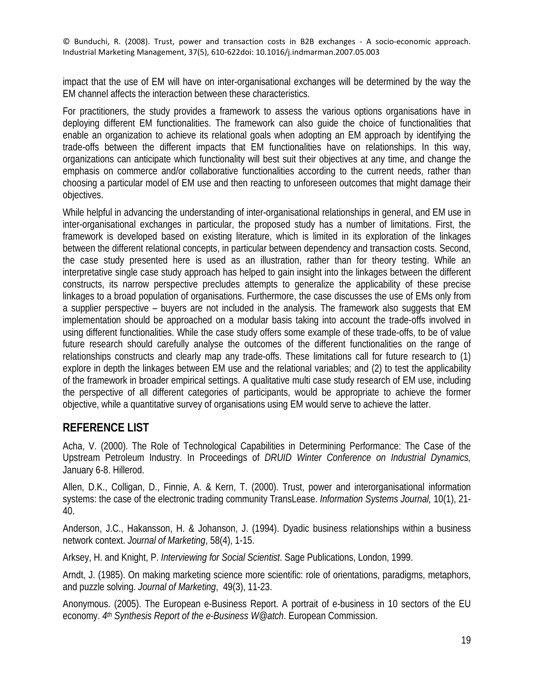impact that the use of EM will have on inter-organisational exchanges will be determined by the way the EM channel affects the interaction between these characteristics.

For practitioners, the study provides a framework to assess the various options organisations have in deploying different EM functionalities. The framework can also guide the choice of functionalities that enable an organization to achieve its relational goals when adopting an EM approach by identifying the trade-offs between the different impacts that EM functionalities have on relationships. In this way, organizations can anticipate which functionality will best suit their objectives at any time, and change the emphasis on commerce and/or collaborative functionalities according to the current needs, rather than choosing a particular model of EM use and then reacting to unforeseen outcomes that might damage their objectives.

While helpful in advancing the understanding of inter-organisational relationships in general, and EM use in inter-organisational exchanges in particular, the proposed study has a number of limitations. First, the framework is developed based on existing literature, which is limited in its exploration of the linkages between the different relational concepts, in particular between dependency and transaction costs. Second, the case study presented here is used as an illustration, rather than for theory testing. While an interpretative single case study approach has helped to gain insight into the linkages between the different constructs, its narrow perspective precludes attempts to generalize the applicability of these precise linkages to a broad population of organisations. Furthermore, the case discusses the use of EMs only from a supplier perspective – buyers are not included in the analysis. The framework also suggests that EM implementation should be approached on a modular basis taking into account the trade-offs involved in using different functionalities. While the case study offers some example of these trade-offs, to be of value future research should carefully analyse the outcomes of the different functionalities on the range of relationships constructs and clearly map any trade-offs. These limitations call for future research to (1) explore in depth the linkages between EM use and the relational variables; and (2) to test the applicability of the framework in broader empirical settings. A qualitative multi case study research of EM use, including the perspective of all different categories of participants, would be appropriate to achieve the former objective, while a quantitative survey of organisations using EM would serve to achieve the latter.

## **REFERENCE LIST**

Acha, V. (2000). The Role of Technological Capabilities in Determining Performance: The Case of the Upstream Petroleum Industry. In Proceedings of *DRUID Winter Conference on Industrial Dynamics,* January 6-8. Hillerod.

Allen, D.K., Colligan, D., Finnie, A. & Kern, T. (2000). Trust, power and interorganisational information systems: the case of the electronic trading community TransLease. *Information Systems Journal,* 10(1), 21- 40.

Anderson, J.C., Hakansson, H. & Johanson, J. (1994). Dyadic business relationships within a business network context. *Journal of Marketing*, 58(4), 1-15.

Arksey, H. and Knight, P. *Interviewing for Social Scientist*. Sage Publications, London, 1999.

Arndt, J. (1985). On making marketing science more scientific: role of orientations, paradigms, metaphors, and puzzle solving. *Journal of Marketing*, 49(3), 11-23.

Anonymous. (2005). The European e-Business Report. A portrait of e-business in 10 sectors of the EU economy. *4th Synthesis Report of the e-Business W@atch*. European Commission.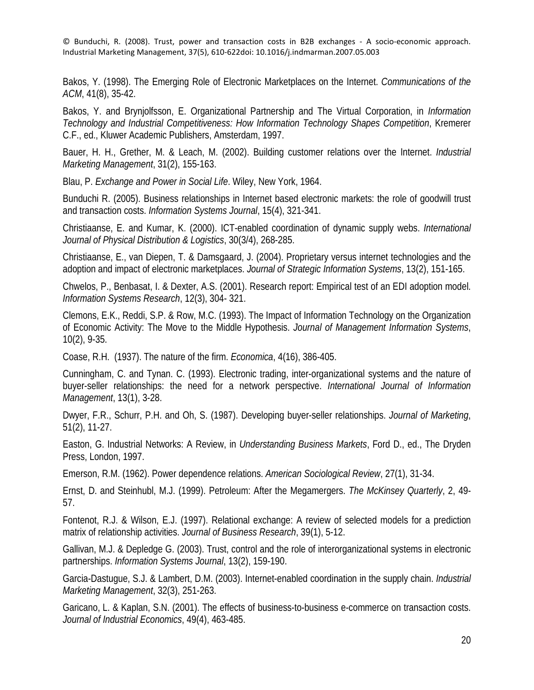Bakos, Y. (1998). The Emerging Role of Electronic Marketplaces on the Internet. *Communications of the ACM*, 41(8), 35-42.

Bakos, Y. and Brynjolfsson, E. Organizational Partnership and The Virtual Corporation, in *Information Technology and Industrial Competitiveness: How Information Technology Shapes Competition*, Kremerer C.F., ed., Kluwer Academic Publishers, Amsterdam, 1997.

Bauer, H. H., Grether, M. & Leach, M. (2002). Building customer relations over the Internet. *Industrial Marketing Management*, 31(2), 155-163.

Blau, P. *Exchange and Power in Social Life*. Wiley, New York, 1964.

Bunduchi R. (2005). Business relationships in Internet based electronic markets: the role of goodwill trust and transaction costs. *Information Systems Journal*, 15(4), 321-341.

Christiaanse, E. and Kumar, K. (2000). ICT-enabled coordination of dynamic supply webs. *International Journal of Physical Distribution & Logistics*, 30(3/4), 268-285.

Christiaanse, E., van Diepen, T. & Damsgaard, J. (2004). Proprietary versus internet technologies and the adoption and impact of electronic marketplaces. *Journal of Strategic Information Systems*, 13(2), 151-165.

Chwelos, P., Benbasat, I. & Dexter, A.S. (2001). Research report: Empirical test of an EDI adoption model. *Information Systems Research*, 12(3), 304- 321.

Clemons, E.K., Reddi, S.P. & Row, M.C. (1993). The Impact of Information Technology on the Organization of Economic Activity: The Move to the Middle Hypothesis. *Journal of Management Information Systems*, 10(2), 9-35.

Coase, R.H. (1937). The nature of the firm. *Economica*, 4(16), 386-405.

Cunningham, C. and Tynan. C. (1993). Electronic trading, inter-organizational systems and the nature of buyer-seller relationships: the need for a network perspective. *International Journal of Information Management*, 13(1), 3-28.

Dwyer, F.R., Schurr, P.H. and Oh, S. (1987). Developing buyer-seller relationships. *Journal of Marketing*, 51(2), 11-27.

Easton, G. Industrial Networks: A Review, in *Understanding Business Markets*, Ford D., ed., The Dryden Press, London, 1997.

Emerson, R.M. (1962). Power dependence relations. *American Sociological Review*, 27(1), 31-34.

Ernst, D. and Steinhubl, M.J. (1999). Petroleum: After the Megamergers. *The McKinsey Quarterly*, 2, 49- 57.

Fontenot, R.J. & Wilson, E.J. (1997). Relational exchange: A review of selected models for a prediction matrix of relationship activities. *Journal of Business Research*, 39(1), 5-12.

Gallivan, M.J. & Depledge G. (2003). Trust, control and the role of interorganizational systems in electronic partnerships. *Information Systems Journal*, 13(2), 159-190.

Garcia-Dastugue, S.J. & Lambert, D.M. (2003). Internet-enabled coordination in the supply chain. *Industrial Marketing Management*, 32(3), 251-263.

Garicano, L. & Kaplan, S.N. (2001). The effects of business-to-business e-commerce on transaction costs. *Journal of Industrial Economics*, 49(4), 463-485.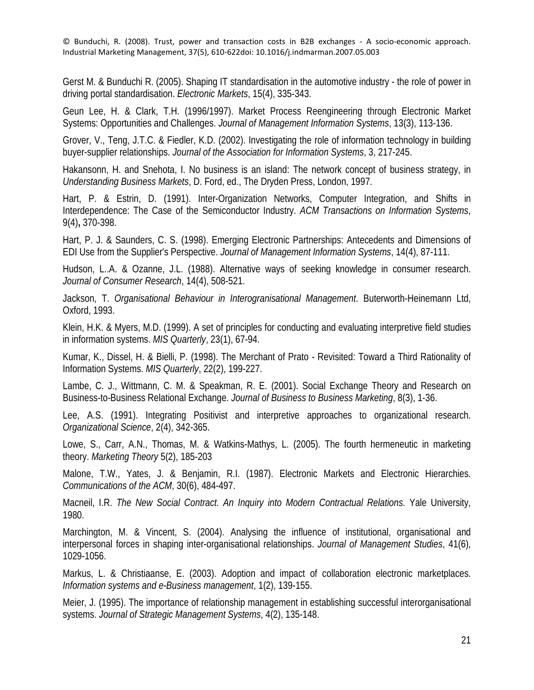Gerst M. & Bunduchi R. (2005). Shaping IT standardisation in the automotive industry - the role of power in driving portal standardisation. *Electronic Markets*, 15(4), 335-343.

Geun Lee, H. & Clark, T.H. (1996/1997). Market Process Reengineering through Electronic Market Systems: Opportunities and Challenges. *Journal of Management Information Systems*, 13(3), 113-136.

Grover, V., Teng, J.T.C. & Fiedler, K.D. (2002). Investigating the role of information technology in building buyer-supplier relationships. *Journal of the Association for Information Systems*, 3, 217-245.

Hakansonn, H. and Snehota, I. No business is an island: The network concept of business strategy, in *Understanding Business Markets*, D. Ford, ed., The Dryden Press, London, 1997.

Hart, P. & Estrin, D. (1991). Inter-Organization Networks, Computer Integration, and Shifts in Interdependence: The Case of the Semiconductor Industry. *ACM Transactions on Information Systems*, 9(4)**,** 370-398.

Hart, P. J. & Saunders, C. S. (1998). Emerging Electronic Partnerships: Antecedents and Dimensions of EDI Use from the Supplier's Perspective. *Journal of Management Information Systems*, 14(4), 87-111.

Hudson, L..A. & Ozanne, J.L. (1988). Alternative ways of seeking knowledge in consumer research. *Journal of Consumer Research*, 14(4), 508-521.

Jackson, T. *Organisational Behaviour in Interogranisational Management*. Buterworth-Heinemann Ltd, Oxford, 1993.

Klein, H.K. & Myers, M.D. (1999). A set of principles for conducting and evaluating interpretive field studies in information systems. *MIS Quarterly*, 23(1), 67-94.

Kumar, K., Dissel, H. & Bielli, P. (1998). The Merchant of Prato - Revisited: Toward a Third Rationality of Information Systems. *MIS Quarterly*, 22(2), 199-227.

Lambe, C. J., Wittmann, C. M. & Speakman, R. E. (2001). Social Exchange Theory and Research on Business-to-Business Relational Exchange. *Journal of Business to Business Marketing*, 8(3), 1-36.

Lee, A.S. (1991). Integrating Positivist and interpretive approaches to organizational research. *Organizational Science*, 2(4), 342-365.

Lowe, S., Carr, A.N., Thomas, M. & Watkins-Mathys, L. (2005). The fourth hermeneutic in marketing theory. *Marketing Theory* 5(2), 185-203

Malone, T.W., Yates, J. & Benjamin, R.I. (1987). Electronic Markets and Electronic Hierarchies. *Communications of the ACM*, 30(6), 484-497.

Macneil, I.R. *The New Social Contract. An Inquiry into Modern Contractual Relations*. Yale University, 1980.

Marchington, M. & Vincent, S. (2004). Analysing the influence of institutional, organisational and interpersonal forces in shaping inter-organisational relationships. *Journal of Management Studies*, 41(6), 1029-1056.

Markus, L. & Christiaanse, E. (2003). Adoption and impact of collaboration electronic marketplaces. *Information systems and e-Business management*, 1(2), 139-155.

Meier, J. (1995). The importance of relationship management in establishing successful interorganisational systems. *Journal of Strategic Management Systems*, 4(2), 135-148.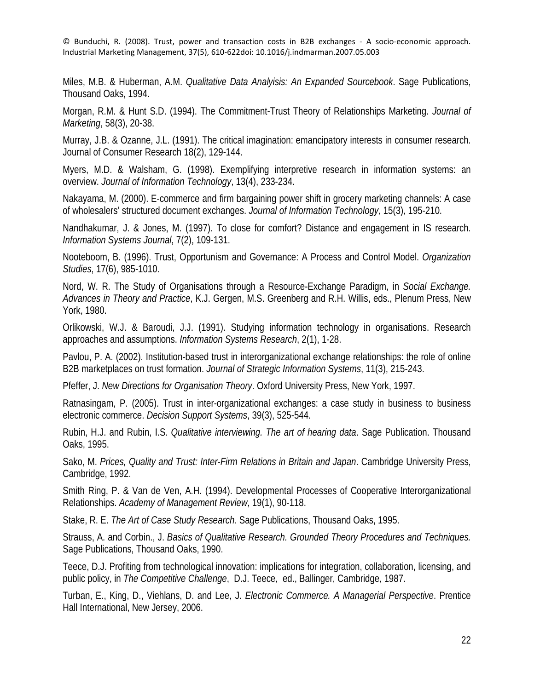Miles, M.B. & Huberman, A.M. *Qualitative Data Analyisis: An Expanded Sourcebook*. Sage Publications, Thousand Oaks, 1994.

Morgan, R.M. & Hunt S.D. (1994). The Commitment-Trust Theory of Relationships Marketing. *Journal of Marketing*, 58(3), 20-38.

Murray, J.B. & Ozanne, J.L. (1991). The critical imagination: emancipatory interests in consumer research. Journal of Consumer Research 18(2), 129-144.

Myers, M.D. & Walsham, G. (1998). Exemplifying interpretive research in information systems: an overview. *Journal of Information Technology*, 13(4), 233-234.

Nakayama, M. (2000). E-commerce and firm bargaining power shift in grocery marketing channels: A case of wholesalers' structured document exchanges. *Journal of Information Technology*, 15(3), 195-210.

Nandhakumar, J. & Jones, M. (1997). To close for comfort? Distance and engagement in IS research. *Information Systems Journal*, 7(2), 109-131.

Nooteboom, B. (1996). Trust, Opportunism and Governance: A Process and Control Model. *Organization Studies*, 17(6), 985-1010.

Nord, W. R. The Study of Organisations through a Resource-Exchange Paradigm, in *Social Exchange. Advances in Theory and Practice*, K.J. Gergen, M.S. Greenberg and R.H. Willis, eds., Plenum Press, New York, 1980.

Orlikowski, W.J. & Baroudi, J.J. (1991). Studying information technology in organisations. Research approaches and assumptions. *Information Systems Research*, 2(1), 1-28.

Pavlou, P. A. (2002). Institution-based trust in interorganizational exchange relationships: the role of online B2B marketplaces on trust formation. *Journal of Strategic Information Systems*, 11(3), 215-243.

Pfeffer, J. *New Directions for Organisation Theory*. Oxford University Press, New York, 1997.

Ratnasingam, P. (2005). Trust in inter-organizational exchanges: a case study in business to business electronic commerce. *Decision Support Systems*, 39(3), 525-544.

Rubin, H.J. and Rubin, I.S. *Qualitative interviewing. The art of hearing data*. Sage Publication. Thousand Oaks, 1995.

Sako, M. *Prices, Quality and Trust: Inter-Firm Relations in Britain and Japan*. Cambridge University Press, Cambridge, 1992.

Smith Ring, P. & Van de Ven, A.H. (1994). Developmental Processes of Cooperative Interorganizational Relationships. *Academy of Management Review*, 19(1), 90-118.

Stake, R. E. *The Art of Case Study Research*. Sage Publications, Thousand Oaks, 1995.

Strauss, A. and Corbin., J. *Basics of Qualitative Research. Grounded Theory Procedures and Techniques.* Sage Publications, Thousand Oaks, 1990.

Teece, D.J. Profiting from technological innovation: implications for integration, collaboration, licensing, and public policy, in *The Competitive Challenge*, D.J. Teece, ed., Ballinger, Cambridge, 1987.

Turban, E., King, D., Viehlans, D. and Lee, J. *Electronic Commerce. A Managerial Perspective*. Prentice Hall International, New Jersey, 2006.